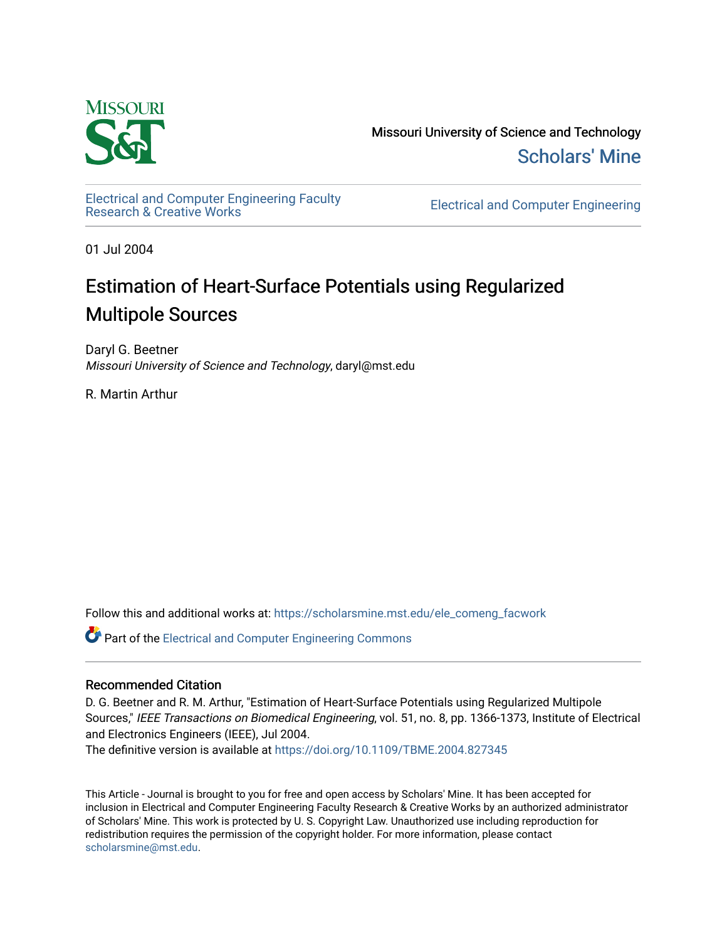

Missouri University of Science and Technology [Scholars' Mine](https://scholarsmine.mst.edu/) 

[Electrical and Computer Engineering Faculty](https://scholarsmine.mst.edu/ele_comeng_facwork)<br>Research & Creative Works

**Electrical and Computer Engineering** 

01 Jul 2004

# Estimation of Heart-Surface Potentials using Regularized Multipole Sources

Daryl G. Beetner Missouri University of Science and Technology, daryl@mst.edu

R. Martin Arthur

Follow this and additional works at: [https://scholarsmine.mst.edu/ele\\_comeng\\_facwork](https://scholarsmine.mst.edu/ele_comeng_facwork?utm_source=scholarsmine.mst.edu%2Fele_comeng_facwork%2F1603&utm_medium=PDF&utm_campaign=PDFCoverPages)

**C** Part of the Electrical and Computer Engineering Commons

# Recommended Citation

D. G. Beetner and R. M. Arthur, "Estimation of Heart-Surface Potentials using Regularized Multipole Sources," IEEE Transactions on Biomedical Engineering, vol. 51, no. 8, pp. 1366-1373, Institute of Electrical and Electronics Engineers (IEEE), Jul 2004.

The definitive version is available at <https://doi.org/10.1109/TBME.2004.827345>

This Article - Journal is brought to you for free and open access by Scholars' Mine. It has been accepted for inclusion in Electrical and Computer Engineering Faculty Research & Creative Works by an authorized administrator of Scholars' Mine. This work is protected by U. S. Copyright Law. Unauthorized use including reproduction for redistribution requires the permission of the copyright holder. For more information, please contact [scholarsmine@mst.edu.](mailto:scholarsmine@mst.edu)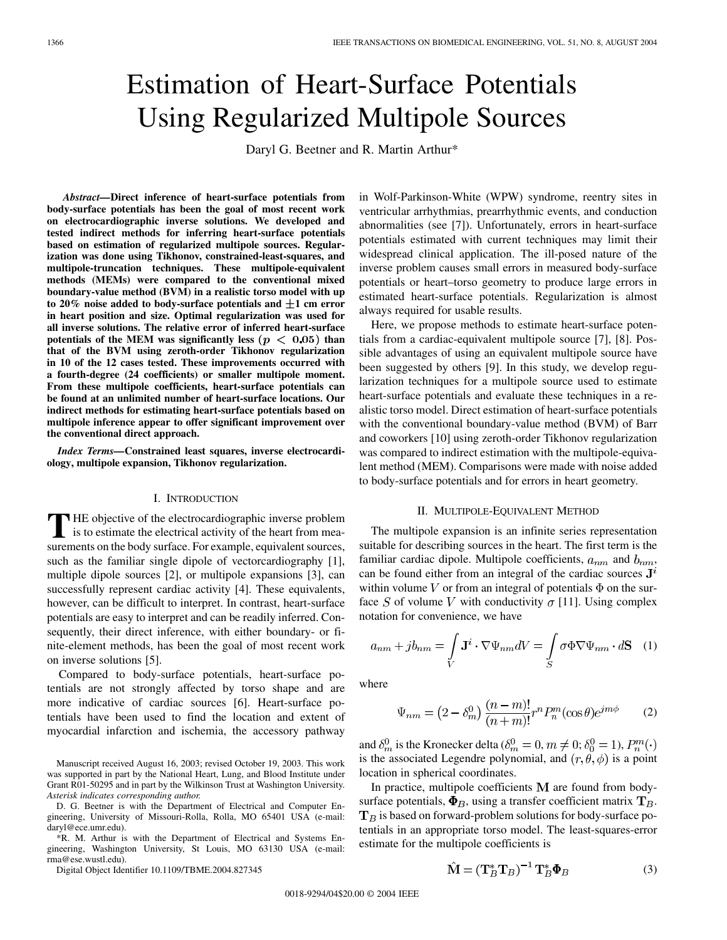# Estimation of Heart-Surface Potentials Using Regularized Multipole Sources

Daryl G. Beetner and R. Martin Arthur\*

*Abstract—***Direct inference of heart-surface potentials from body-surface potentials has been the goal of most recent work on electrocardiographic inverse solutions. We developed and tested indirect methods for inferring heart-surface potentials based on estimation of regularized multipole sources. Regularization was done using Tikhonov, constrained-least-squares, and multipole-truncation techniques. These multipole-equivalent methods (MEMs) were compared to the conventional mixed boundary-value method (BVM) in a realistic torso model with up** to 20% noise added to body-surface potentials and  $\pm 1$  cm error **in heart position and size. Optimal regularization was used for all inverse solutions. The relative error of inferred heart-surface** potentials of the MEM was significantly less ( $p < 0.05$ ) than **that of the BVM using zeroth-order Tikhonov regularization in 10 of the 12 cases tested. These improvements occurred with a fourth-degree (24 coefficients) or smaller multipole moment. From these multipole coefficients, heart-surface potentials can be found at an unlimited number of heart-surface locations. Our indirect methods for estimating heart-surface potentials based on multipole inference appear to offer significant improvement over the conventional direct approach.**

*Index Terms—***Constrained least squares, inverse electrocardiology, multipole expansion, Tikhonov regularization.**

#### I. INTRODUCTION

**T** HE objective of the electrocardiographic inverse problem<br>is to estimate the electrical activity of the heart from mea-<br>summats on the heat: summats activity of the heart from measurements on the body surface. For example, equivalent sources, such as the familiar single dipole of vectorcardiography [[1\]](#page-7-0), multiple dipole sources [\[2](#page-7-0)], or multipole expansions [\[3](#page-7-0)], can successfully represent cardiac activity [\[4](#page-7-0)]. These equivalents, however, can be difficult to interpret. In contrast, heart-surface potentials are easy to interpret and can be readily inferred. Consequently, their direct inference, with either boundary- or finite-element methods, has been the goal of most recent work on inverse solutions [[5\]](#page-7-0).

Compared to body-surface potentials, heart-surface potentials are not strongly affected by torso shape and are more indicative of cardiac sources [\[6](#page-7-0)]. Heart-surface potentials have been used to find the location and extent of myocardial infarction and ischemia, the accessory pathway

Manuscript received August 16, 2003; revised October 19, 2003. This work was supported in part by the National Heart, Lung, and Blood Institute under Grant R01-50295 and in part by the Wilkinson Trust at Washington University. *Asterisk indicates corresponding author.*

D. G. Beetner is with the Department of Electrical and Computer Engineering, University of Missouri-Rolla, Rolla, MO 65401 USA (e-mail: daryl@ece.umr.edu).

\*R. M. Arthur is with the Department of Electrical and Systems Engineering, Washington University, St Louis, MO 63130 USA (e-mail: rma@ese.wustl.edu).

Digital Object Identifier 10.1109/TBME.2004.827345

in Wolf-Parkinson-White (WPW) syndrome, reentry sites in ventricular arrhythmias, prearrhythmic events, and conduction abnormalities (see [[7\]](#page-8-0)). Unfortunately, errors in heart-surface potentials estimated with current techniques may limit their widespread clinical application. The ill-posed nature of the inverse problem causes small errors in measured body-surface potentials or heart–torso geometry to produce large errors in estimated heart-surface potentials. Regularization is almost always required for usable results.

Here, we propose methods to estimate heart-surface potentials from a cardiac-equivalent multipole source [\[7](#page-8-0)], [[8\]](#page-8-0). Possible advantages of using an equivalent multipole source have been suggested by others [\[9](#page-8-0)]. In this study, we develop regularization techniques for a multipole source used to estimate heart-surface potentials and evaluate these techniques in a realistic torso model. Direct estimation of heart-surface potentials with the conventional boundary-value method (BVM) of Barr and coworkers [\[10](#page-8-0)] using zeroth-order Tikhonov regularization was compared to indirect estimation with the multipole-equivalent method (MEM). Comparisons were made with noise added to body-surface potentials and for errors in heart geometry.

# II. MULTIPOLE-EQUIVALENT METHOD

The multipole expansion is an infinite series representation suitable for describing sources in the heart. The first term is the familiar cardiac dipole. Multipole coefficients,  $a_{nm}$  and  $b_{nm}$ , can be found either from an integral of the cardiac sources  $J^i$ within volume V or from an integral of potentials  $\Phi$  on the surface S of volume V with conductivity  $\sigma$  [[11\]](#page-8-0). Using complex notation for convenience, we have

$$
a_{nm} + jb_{nm} = \int\limits_V \mathbf{J}^i \cdot \nabla \Psi_{nm} dV = \int\limits_S \sigma \Phi \nabla \Psi_{nm} \cdot d\mathbf{S} \quad (1)
$$

where

$$
\Psi_{nm} = \left(2 - \delta_m^0\right) \frac{(n-m)!}{(n+m)!} r^n P_n^m(\cos \theta) e^{jm\phi} \tag{2}
$$

and  $\delta_m^0$  is the Kronecker delta ( $\delta_m^0 = 0, m \neq 0; \delta_0^0 = 1$ ),  $P_n^m(\cdot)$ is the associated Legendre polynomial, and  $(r, \theta, \phi)$  is a point location in spherical coordinates.

In practice, multipole coefficients  $M$  are found from bodysurface potentials,  $\Phi_B$ , using a transfer coefficient matrix  $\mathbf{T}_B$ .  $T_B$  is based on forward-problem solutions for body-surface potentials in an appropriate torso model. The least-squares-error estimate for the multipole coefficients is

$$
\hat{\mathbf{M}} = \left(\mathbf{T}_B^* \mathbf{T}_B\right)^{-1} \mathbf{T}_B^* \mathbf{\Phi}_B \tag{3}
$$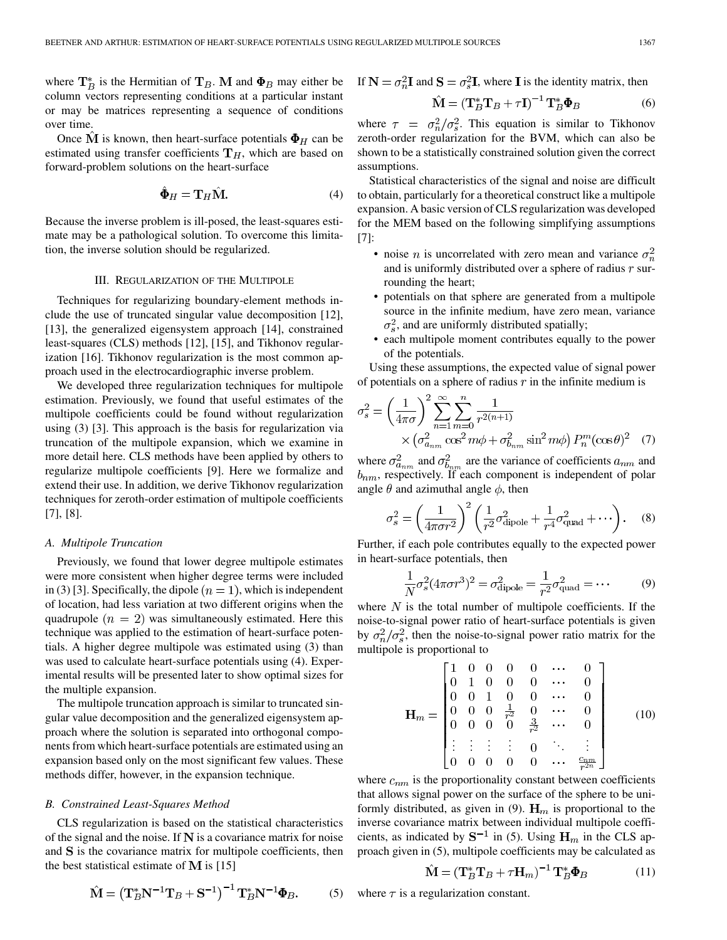where  $\mathbf{T}_B^*$  is the Hermitian of  $\mathbf{T}_B$ . M and  $\Phi_B$  may either be column vectors representing conditions at a particular instant or may be matrices representing a sequence of conditions over time.

Once  $\tilde{M}$  is known, then heart-surface potentials  $\Phi_H$  can be estimated using transfer coefficients  $T_H$ , which are based on forward-problem solutions on the heart-surface

$$
\hat{\Phi}_H = \mathbf{T}_H \hat{\mathbf{M}}.\tag{4}
$$

Because the inverse problem is ill-posed, the least-squares estimate may be a pathological solution. To overcome this limitation, the inverse solution should be regularized.

#### III. REGULARIZATION OF THE MULTIPOLE

Techniques for regularizing boundary-element methods include the use of truncated singular value decomposition [\[12](#page-8-0)], [\[13](#page-8-0)], the generalized eigensystem approach [[14\]](#page-8-0), constrained least-squares (CLS) methods [[12\]](#page-8-0), [\[15](#page-8-0)], and Tikhonov regularization [[16\]](#page-8-0). Tikhonov regularization is the most common approach used in the electrocardiographic inverse problem.

We developed three regularization techniques for multipole estimation. Previously, we found that useful estimates of the multipole coefficients could be found without regularization using (3) [\[3\]](#page-7-0). This approach is the basis for regularization via truncation of the multipole expansion, which we examine in more detail here. CLS methods have been applied by others to regularize multipole coefficients [[9\]](#page-8-0). Here we formalize and extend their use. In addition, we derive Tikhonov regularization techniques for zeroth-order estimation of multipole coefficients [\[7](#page-8-0)], [[8\]](#page-8-0).

#### *A. Multipole Truncation*

Previously, we found that lower degree multipole estimates were more consistent when higher degree terms were included in (3) [[3\]](#page-7-0). Specifically, the dipole  $(n = 1)$ , which is independent of location, had less variation at two different origins when the quadrupole  $(n = 2)$  was simultaneously estimated. Here this technique was applied to the estimation of heart-surface potentials. A higher degree multipole was estimated using (3) than was used to calculate heart-surface potentials using (4). Experimental results will be presented later to show optimal sizes for the multiple expansion.

The multipole truncation approach is similar to truncated singular value decomposition and the generalized eigensystem approach where the solution is separated into orthogonal components from which heart-surface potentials are estimated using an expansion based only on the most significant few values. These methods differ, however, in the expansion technique.

### *B. Constrained Least-Squares Method*

CLS regularization is based on the statistical characteristics of the signal and the noise. If  $N$  is a covariance matrix for noise and  $S$  is the covariance matrix for multipole coefficients, then the best statistical estimate of  $M$  is [\[15](#page-8-0)]

$$
\hat{\mathbf{M}} = \left(\mathbf{T}_B^* \mathbf{N}^{-1} \mathbf{T}_B + \mathbf{S}^{-1}\right)^{-1} \mathbf{T}_B^* \mathbf{N}^{-1} \mathbf{\Phi}_B.
$$
 (5)

If 
$$
\mathbf{N} = \sigma_n^2 \mathbf{I}
$$
 and  $\mathbf{S} = \sigma_s^2 \mathbf{I}$ , where **I** is the identity matrix, then

$$
\hat{\mathbf{M}} = (\mathbf{T}_{B}^{*} \mathbf{T}_{B} + \tau \mathbf{I})^{-1} \mathbf{T}_{B}^{*} \mathbf{\Phi}_{B}
$$
(6)

where  $\tau = \sigma_n^2/\sigma_s^2$ . This equation is similar to Tikhonov zeroth-order regularization for the BVM, which can also be shown to be a statistically constrained solution given the correct assumptions.

Statistical characteristics of the signal and noise are difficult to obtain, particularly for a theoretical construct like a multipole expansion. A basic version of CLS regularization was developed for the MEM based on the following simplifying assumptions [\[7](#page-8-0)]:

- noise *n* is uncorrelated with zero mean and variance  $\sigma_n^2$ and is uniformly distributed over a sphere of radius  $r$  surrounding the heart;
- potentials on that sphere are generated from a multipole source in the infinite medium, have zero mean, variance  $\sigma_s^2$ , and are uniformly distributed spatially;
- each multipole moment contributes equally to the power of the potentials.

Using these assumptions, the expected value of signal power of potentials on a sphere of radius  $r$  in the infinite medium is

$$
\sigma_s^2 = \left(\frac{1}{4\pi\sigma}\right)^2 \sum_{n=1}^{\infty} \sum_{m=0}^n \frac{1}{r^{2(n+1)}}
$$
  
×  $\left(\sigma_{a_{nm}}^2 \cos^2 m\phi + \sigma_{b_{nm}}^2 \sin^2 m\phi\right) P_n^m(\cos\theta)^2$  (7)

where  $\sigma_{a_{nm}}^2$  and  $\sigma_{b_{nm}}^2$  are the variance of coefficients  $a_{nm}$  and , respectively. If each component is independent of polar angle  $\theta$  and azimuthal angle  $\phi$ , then

$$
\sigma_s^2 = \left(\frac{1}{4\pi\sigma r^2}\right)^2 \left(\frac{1}{r^2} \sigma_{\text{dipole}}^2 + \frac{1}{r^4} \sigma_{\text{quad}}^2 + \cdots\right). \tag{8}
$$

Further, if each pole contributes equally to the expected power in heart-surface potentials, then

$$
\frac{1}{N}\sigma_s^2 (4\pi\sigma r^3)^2 = \sigma_{\text{dipole}}^2 = \frac{1}{r^2}\sigma_{\text{quad}}^2 = \cdots \tag{9}
$$

where  $N$  is the total number of multipole coefficients. If the noise-to-signal power ratio of heart-surface potentials is given by  $\sigma_n^2/\sigma_s^2$ , then the noise-to-signal power ratio matrix for the multipole is proportional to

$$
\mathbf{H}_{m} = \begin{bmatrix} 1 & 0 & 0 & 0 & 0 & \cdots & 0 \\ 0 & 1 & 0 & 0 & 0 & \cdots & 0 \\ 0 & 0 & 1 & 0 & 0 & \cdots & 0 \\ 0 & 0 & 0 & \frac{1}{r^{2}} & 0 & \cdots & 0 \\ 0 & 0 & 0 & 0 & \frac{3}{r^{2}} & \cdots & 0 \\ \vdots & \vdots & \vdots & \vdots & 0 & \ddots & \vdots \\ 0 & 0 & 0 & 0 & \cdots & \frac{c_{n}}{r^{2n}} \end{bmatrix}
$$
 (10)

where  $c_{nm}$  is the proportionality constant between coefficients that allows signal power on the surface of the sphere to be uniformly distributed, as given in (9).  $\mathbf{H}_m$  is proportional to the inverse covariance matrix between individual multipole coefficients, as indicated by  $S^{-1}$  in (5). Using  $H_m$  in the CLS approach given in (5), multipole coefficients may be calculated as

$$
\hat{\mathbf{M}} = (\mathbf{T}_{B}^{*} \mathbf{T}_{B} + \tau \mathbf{H}_{m})^{-1} \mathbf{T}_{B}^{*} \mathbf{\Phi}_{B}
$$
\n(11)

where  $\tau$  is a regularization constant.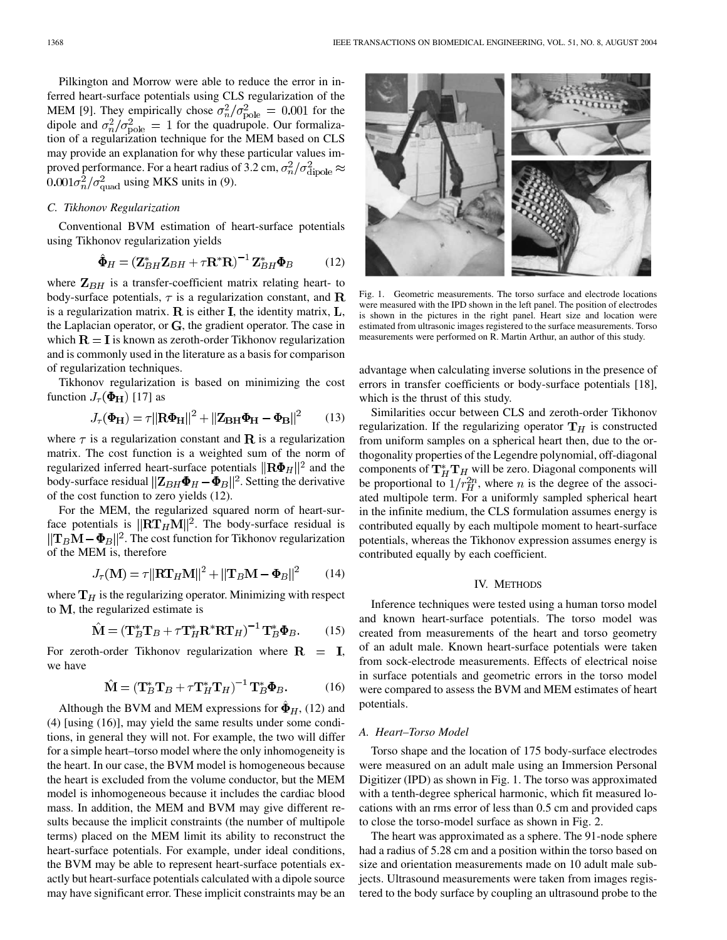Pilkington and Morrow were able to reduce the error in inferred heart-surface potentials using CLS regularization of the MEM [\[9](#page-8-0)]. They empirically chose  $\sigma_n^2/\sigma_{\text{pole}}^2 = 0.001$  for the dipole and  $\sigma_n^2/\sigma_{\text{pole}}^2 = 1$  for the quadrupole. Our formalization of a regularization technique for the MEM based on CLS may provide an explanation for why these particular values improved performance. For a heart radius of 3.2 cm,  $\sigma_n^2/\sigma_{\text{dipole}}^2 \approx$  $0.001\sigma_n^2/\sigma_{\text{quad}}^2$  using MKS units in (9).

# *C. Tikhonov Regularization*

Conventional BVM estimation of heart-surface potentials using Tikhonov regularization yields

$$
\hat{\Phi}_H = \left(\mathbf{Z}_{BH}^* \mathbf{Z}_{BH} + \tau \mathbf{R}^* \mathbf{R}\right)^{-1} \mathbf{Z}_{BH}^* \mathbf{\Phi}_B \tag{12}
$$

where  $\mathbf{Z}_{BH}$  is a transfer-coefficient matrix relating heart- to body-surface potentials,  $\tau$  is a regularization constant, and R is a regularization matrix.  $\bf{R}$  is either  $\bf{I}$ , the identity matrix,  $\bf{L}$ , the Laplacian operator, or  $G$ , the gradient operator. The case in which  $\mathbf{R} = \mathbf{I}$  is known as zeroth-order Tikhonov regularization and is commonly used in the literature as a basis for comparison of regularization techniques.

Tikhonov regularization is based on minimizing the cost function  $J_{\tau}(\Phi_{\mathbf{H}})$  [[17\]](#page-8-0) as

$$
J_{\tau}(\mathbf{\Phi}_{\mathbf{H}}) = \tau ||\mathbf{R}\mathbf{\Phi}_{\mathbf{H}}||^2 + ||\mathbf{Z}_{\mathbf{B}\mathbf{H}}\mathbf{\Phi}_{\mathbf{H}} - \mathbf{\Phi}_{\mathbf{B}}||^2 \qquad (13)
$$

where  $\tau$  is a regularization constant and **R** is a regularization matrix. The cost function is a weighted sum of the norm of regularized inferred heart-surface potentials  $\|\mathbf{R}\Phi_H\|^2$  and the body-surface residual  $||\mathbf{Z}_{BH}\mathbf{\Phi}_{H} - \mathbf{\Phi}_{B}||^2$ . Setting the derivative of the cost function to zero yields (12).

For the MEM, the regularized squared norm of heart-surface potentials is  $\|\mathbf{RT}_H\mathbf{M}\|^2$ . The body-surface residual is  $\|\mathbf{T}_B\mathbf{M}-\mathbf{\Phi}_B\|^2$ . The cost function for Tikhonov regularization of the MEM is, therefore

$$
J_{\tau}(\mathbf{M}) = \tau ||\mathbf{R} \mathbf{T}_H \mathbf{M}||^2 + ||\mathbf{T}_B \mathbf{M} - \mathbf{\Phi}_B||^2 \qquad (14)
$$

where  $T_H$  is the regularizing operator. Minimizing with respect to  $M$ , the regularized estimate is

$$
\hat{\mathbf{M}} = \left(\mathbf{T}_{B}^{*}\mathbf{T}_{B} + \tau\mathbf{T}_{H}^{*}\mathbf{R}^{*}\mathbf{R}\mathbf{T}_{H}\right)^{-1}\mathbf{T}_{B}^{*}\mathbf{\Phi}_{B}.
$$
 (15)

For zeroth-order Tikhonov regularization where  $R = I$ , we have

$$
\hat{\mathbf{M}} = \left(\mathbf{T}_B^* \mathbf{T}_B + \tau \mathbf{T}_H^* \mathbf{T}_H\right)^{-1} \mathbf{T}_B^* \boldsymbol{\Phi}_B. \tag{16}
$$

Although the BVM and MEM expressions for  $\tilde{\Phi}_H$ , (12) and (4) [using (16)], may yield the same results under some conditions, in general they will not. For example, the two will differ for a simple heart–torso model where the only inhomogeneity is the heart. In our case, the BVM model is homogeneous because the heart is excluded from the volume conductor, but the MEM model is inhomogeneous because it includes the cardiac blood mass. In addition, the MEM and BVM may give different results because the implicit constraints (the number of multipole terms) placed on the MEM limit its ability to reconstruct the heart-surface potentials. For example, under ideal conditions, the BVM may be able to represent heart-surface potentials exactly but heart-surface potentials calculated with a dipole source may have significant error. These implicit constraints may be an



Fig. 1. Geometric measurements. The torso surface and electrode locations were measured with the IPD shown in the left panel. The position of electrodes is shown in the pictures in the right panel. Heart size and location were estimated from ultrasonic images registered to the surface measurements. Torso measurements were performed on R. Martin Arthur, an author of this study.

advantage when calculating inverse solutions in the presence of errors in transfer coefficients or body-surface potentials [[18\]](#page-8-0), which is the thrust of this study.

Similarities occur between CLS and zeroth-order Tikhonov regularization. If the regularizing operator  $T_H$  is constructed from uniform samples on a spherical heart then, due to the orthogonality properties of the Legendre polynomial, off-diagonal components of  $T_H^*T_H$  will be zero. Diagonal components will be proportional to  $1/r_H^{2n}$ , where *n* is the degree of the associated multipole term. For a uniformly sampled spherical heart in the infinite medium, the CLS formulation assumes energy is contributed equally by each multipole moment to heart-surface potentials, whereas the Tikhonov expression assumes energy is contributed equally by each coefficient.

#### IV. METHODS

Inference techniques were tested using a human torso model and known heart-surface potentials. The torso model was created from measurements of the heart and torso geometry of an adult male. Known heart-surface potentials were taken from sock-electrode measurements. Effects of electrical noise in surface potentials and geometric errors in the torso model were compared to assess the BVM and MEM estimates of heart potentials.

# *A. Heart–Torso Model*

Torso shape and the location of 175 body-surface electrodes were measured on an adult male using an Immersion Personal Digitizer (IPD) as shown in Fig. 1. The torso was approximated with a tenth-degree spherical harmonic, which fit measured locations with an rms error of less than 0.5 cm and provided caps to close the torso-model surface as shown in Fig. 2.

The heart was approximated as a sphere. The 91-node sphere had a radius of 5.28 cm and a position within the torso based on size and orientation measurements made on 10 adult male subjects. Ultrasound measurements were taken from images registered to the body surface by coupling an ultrasound probe to the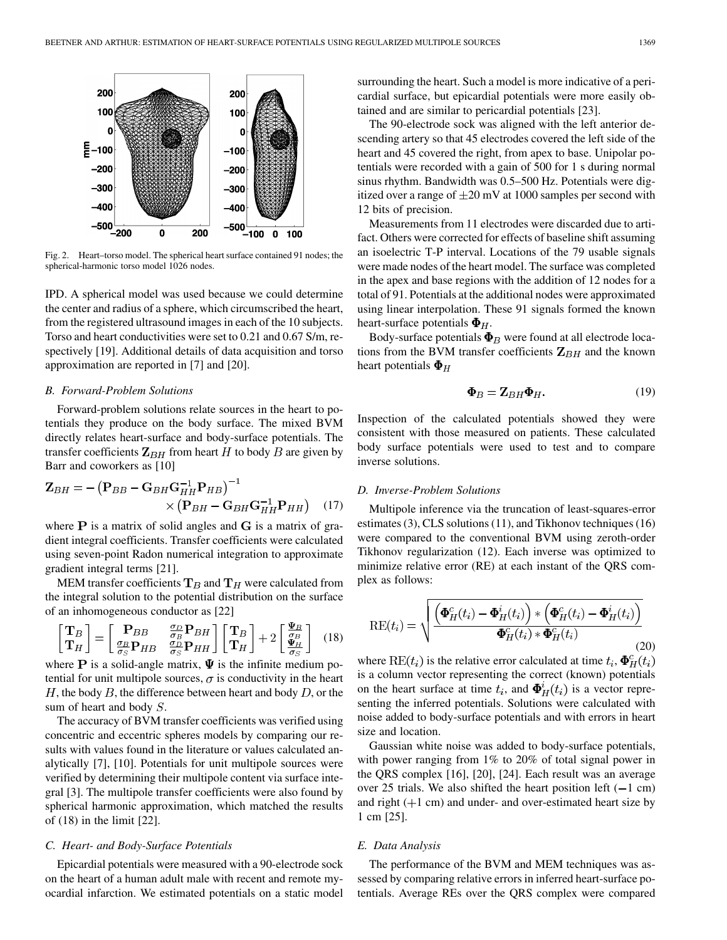

Fig. 2. Heart–torso model. The spherical heart surface contained 91 nodes; the spherical-harmonic torso model 1026 nodes.

IPD. A spherical model was used because we could determine the center and radius of a sphere, which circumscribed the heart, from the registered ultrasound images in each of the 10 subjects. Torso and heart conductivities were set to 0.21 and 0.67 S/m, respectively [[19\]](#page-8-0). Additional details of data acquisition and torso approximation are reported in [\[7](#page-8-0)] and [[20\]](#page-8-0).

#### *B. Forward-Problem Solutions*

Forward-problem solutions relate sources in the heart to potentials they produce on the body surface. The mixed BVM directly relates heart-surface and body-surface potentials. The transfer coefficients  $\mathbf{Z}_{BH}$  from heart H to body B are given by Barr and coworkers as [\[10](#page-8-0)]

$$
\mathbf{Z}_{BH} = -\left(\mathbf{P}_{BB} - \mathbf{G}_{BH}\mathbf{G}_{HH}^{-1}\mathbf{P}_{HB}\right)^{-1} \times \left(\mathbf{P}_{BH} - \mathbf{G}_{BH}\mathbf{G}_{HH}^{-1}\mathbf{P}_{HH}\right) \quad (17)
$$

where  $P$  is a matrix of solid angles and  $G$  is a matrix of gradient integral coefficients. Transfer coefficients were calculated using seven-point Radon numerical integration to approximate gradient integral terms [\[21\]](#page-8-0).

MEM transfer coefficients  $T_B$  and  $T_H$  were calculated from the integral solution to the potential distribution on the surface of an inhomogeneous conductor as [[22\]](#page-8-0)

$$
\begin{bmatrix} \mathbf{T}_B \\ \mathbf{T}_H \end{bmatrix} = \begin{bmatrix} \mathbf{P}_{BB} & \frac{\sigma_D}{\sigma_B} \mathbf{P}_{BH} \\ \frac{\sigma_B}{\sigma_S} \mathbf{P}_{HB} & \frac{\sigma_D}{\sigma_S} \mathbf{P}_{HH} \end{bmatrix} \begin{bmatrix} \mathbf{T}_B \\ \mathbf{T}_H \end{bmatrix} + 2 \begin{bmatrix} \frac{\Psi_B}{\sigma_B} \\ \frac{\Psi_H}{\sigma_S} \end{bmatrix} \quad (18)
$$

where **P** is a solid-angle matrix,  $\Psi$  is the infinite medium potential for unit multipole sources,  $\sigma$  is conductivity in the heart  $H$ , the body  $B$ , the difference between heart and body  $D$ , or the sum of heart and body  $S$ .

The accuracy of BVM transfer coefficients was verified using concentric and eccentric spheres models by comparing our results with values found in the literature or values calculated analytically [[7\]](#page-8-0), [\[10](#page-8-0)]. Potentials for unit multipole sources were verified by determining their multipole content via surface integral [\[3](#page-7-0)]. The multipole transfer coefficients were also found by spherical harmonic approximation, which matched the results of (18) in the limit [\[22](#page-8-0)].

#### *C. Heart- and Body-Surface Potentials*

Epicardial potentials were measured with a 90-electrode sock on the heart of a human adult male with recent and remote myocardial infarction. We estimated potentials on a static model surrounding the heart. Such a model is more indicative of a pericardial surface, but epicardial potentials were more easily obtained and are similar to pericardial potentials [\[23](#page-8-0)].

The 90-electrode sock was aligned with the left anterior descending artery so that 45 electrodes covered the left side of the heart and 45 covered the right, from apex to base. Unipolar potentials were recorded with a gain of 500 for 1 s during normal sinus rhythm. Bandwidth was 0.5–500 Hz. Potentials were digitized over a range of  $\pm 20$  mV at 1000 samples per second with 12 bits of precision.

Measurements from 11 electrodes were discarded due to artifact. Others were corrected for effects of baseline shift assuming an isoelectric T-P interval. Locations of the 79 usable signals were made nodes of the heart model. The surface was completed in the apex and base regions with the addition of 12 nodes for a total of 91. Potentials at the additional nodes were approximated using linear interpolation. These 91 signals formed the known heart-surface potentials  $\Phi_H$ .

Body-surface potentials  $\pmb{\Phi}_B$  were found at all electrode locations from the BVM transfer coefficients  $\mathbf{Z}_{BH}$  and the known heart potentials  $\Phi_H$ 

$$
\Phi_B = \mathbf{Z}_{BH} \Phi_H. \tag{19}
$$

Inspection of the calculated potentials showed they were consistent with those measured on patients. These calculated body surface potentials were used to test and to compare inverse solutions.

### *D. Inverse-Problem Solutions*

Multipole inference via the truncation of least-squares-error estimates (3), CLS solutions (11), and Tikhonov techniques (16) were compared to the conventional BVM using zeroth-order Tikhonov regularization (12). Each inverse was optimized to minimize relative error (RE) at each instant of the QRS complex as follows:

$$
RE(t_i) = \sqrt{\frac{\left(\Phi_H^c(t_i) - \Phi_H^i(t_i)\right) * \left(\Phi_H^c(t_i) - \Phi_H^i(t_i)\right)}{\Phi_H^c(t_i) * \Phi_H^c(t_i)}}
$$
(20)

where  $RE(t_i)$  is the relative error calculated at time  $t_i$ ,  $\Phi_H^c(t_i)$ is a column vector representing the correct (known) potentials on the heart surface at time  $t_i$ , and  $\mathbf{\Phi}^i_H(t_i)$  is a vector representing the inferred potentials. Solutions were calculated with noise added to body-surface potentials and with errors in heart size and location.

Gaussian white noise was added to body-surface potentials, with power ranging from 1% to 20% of total signal power in the QRS complex [\[16](#page-8-0)], [\[20](#page-8-0)], [[24\]](#page-8-0). Each result was an average over 25 trials. We also shifted the heart position left  $(-1 \text{ cm})$ and right  $(+1 \text{ cm})$  and under- and over-estimated heart size by 1 cm [[25\]](#page-8-0).

#### *E. Data Analysis*

The performance of the BVM and MEM techniques was assessed by comparing relative errors in inferred heart-surface potentials. Average REs over the QRS complex were compared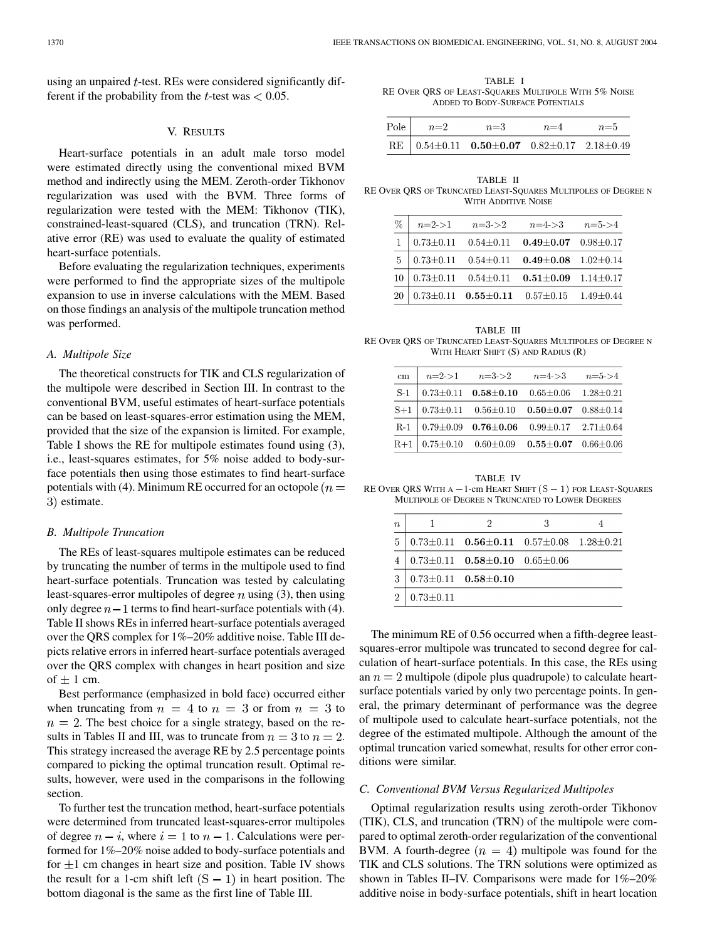using an unpaired  $t$ -test. REs were considered significantly different if the probability from the *t*-test was  $< 0.05$ .

# V. RESULTS

Heart-surface potentials in an adult male torso model were estimated directly using the conventional mixed BVM method and indirectly using the MEM. Zeroth-order Tikhonov regularization was used with the BVM. Three forms of regularization were tested with the MEM: Tikhonov (TIK), constrained-least-squared (CLS), and truncation (TRN). Relative error (RE) was used to evaluate the quality of estimated heart-surface potentials.

Before evaluating the regularization techniques, experiments were performed to find the appropriate sizes of the multipole expansion to use in inverse calculations with the MEM. Based on those findings an analysis of the multipole truncation method was performed.

#### *A. Multipole Size*

The theoretical constructs for TIK and CLS regularization of the multipole were described in Section III. In contrast to the conventional BVM, useful estimates of heart-surface potentials can be based on least-squares-error estimation using the MEM, provided that the size of the expansion is limited. For example, Table I shows the RE for multipole estimates found using (3), i.e., least-squares estimates, for 5% noise added to body-surface potentials then using those estimates to find heart-surface potentials with (4). Minimum RE occurred for an octopole ( $n =$ 3) estimate.

#### *B. Multipole Truncation*

The REs of least-squares multipole estimates can be reduced by truncating the number of terms in the multipole used to find heart-surface potentials. Truncation was tested by calculating least-squares-error multipoles of degree  $n$  using (3), then using only degree  $n-1$  terms to find heart-surface potentials with (4). Table II shows REs in inferred heart-surface potentials averaged over the QRS complex for 1%–20% additive noise. Table III depicts relative errors in inferred heart-surface potentials averaged over the QRS complex with changes in heart position and size of  $\pm$  1 cm.

Best performance (emphasized in bold face) occurred either when truncating from  $n = 4$  to  $n = 3$  or from  $n = 3$  to  $n = 2$ . The best choice for a single strategy, based on the results in Tables II and III, was to truncate from  $n = 3$  to  $n = 2$ . This strategy increased the average RE by 2.5 percentage points compared to picking the optimal truncation result. Optimal results, however, were used in the comparisons in the following section.

To further test the truncation method, heart-surface potentials were determined from truncated least-squares-error multipoles of degree  $n - i$ , where  $i = 1$  to  $n - 1$ . Calculations were performed for 1%–20% noise added to body-surface potentials and for  $\pm 1$  cm changes in heart size and position. Table IV shows the result for a 1-cm shift left  $(S - 1)$  in heart position. The bottom diagonal is the same as the first line of Table III.

TABLE I RE OVER ORS OF LEAST-SOUARES MULTIPOLE WITH 5% NOISE ADDED TO BODY-SURFACE POTENTIALS

| Pole $n=2$ | $n=3$                                                              | $n=4$ | $n=5$ |
|------------|--------------------------------------------------------------------|-------|-------|
|            | RE 0.54 $\pm$ 0.11 0.50 $\pm$ 0.07 0.82 $\pm$ 0.17 2.18 $\pm$ 0.49 |       |       |

TABLE II RE OVER QRS OF TRUNCATED LEAST-SQUARES MULTIPOLES OF DEGREE N WITH ADDITIVE NOISE

| $\%$ |  | $n=2>1$ $n=3>2$ $n=4>3$ $n=5>4$                                                         |  |
|------|--|-----------------------------------------------------------------------------------------|--|
|      |  | $\vert$ 0.73 $\pm$ 0.11 0.54 $\pm$ 0.11 0.49 $\pm$ 0.07 0.98 $\pm$ 0.17                 |  |
|      |  | $5 \mid 0.73 \pm 0.11 \quad 0.54 \pm 0.11 \quad 0.49 \pm 0.08 \quad 1.02 \pm 0.14$      |  |
| 10   |  | $\vert$ 0.73±0.11 0.54±0.11 0.51±0.09 1.14±0.17                                         |  |
|      |  | $20\begin{array}{ l} 0.73\pm0.11 & 0.55\pm0.11 & 0.57\pm0.15 & 1.49\pm0.44 \end{array}$ |  |

TABLE III RE OVER QRS OF TRUNCATED LEAST-SQUARES MULTIPOLES OF DEGREE N WITH HEART SHIFT (S) AND RADIUS (R)

| cm    | $n=2->1$ $n=3->2$               | $n=4-3$ $n=5-3$                                                 |  |
|-------|---------------------------------|-----------------------------------------------------------------|--|
| $S-1$ |                                 | $0.73 \pm 0.11$ $0.58 \pm 0.10$ $0.65 \pm 0.06$ $1.28 \pm 0.21$ |  |
| $S+1$ |                                 | $0.73 \pm 0.11$ $0.56 \pm 0.10$ $0.50 \pm 0.07$ $0.88 \pm 0.14$ |  |
| $R-1$ |                                 | $0.79 \pm 0.09$ $0.76 \pm 0.06$ $0.99 \pm 0.17$ $2.71 \pm 0.64$ |  |
| $R+1$ | $0.75 \pm 0.10$ $0.60 \pm 0.09$ | $\textbf{0.55} {\pm} \textbf{0.07} \quad 0.66 {\pm} 0.06$       |  |

TABLE IV RE OVER QRS WITH  $A - 1$ -cm HEART SHIFT  $(S - 1)$  for LEAST-SQUARES MULTIPOLE OF DEGREE N TRUNCATED TO LOWER DEGREES

| $\boldsymbol{n}$ |                 |                                                                 |  |
|------------------|-----------------|-----------------------------------------------------------------|--|
| 5                |                 | $0.73 \pm 0.11$ $0.56 \pm 0.11$ $0.57 \pm 0.08$ $1.28 \pm 0.21$ |  |
| $\overline{4}$   |                 | $0.73 \pm 0.11$ $0.58 \pm 0.10$ $0.65 \pm 0.06$                 |  |
| $\mathcal{S}$    |                 | $0.73 \pm 0.11$ $0.58 \pm 0.10$                                 |  |
| $\overline{2}$   | $0.73 \pm 0.11$ |                                                                 |  |

The minimum RE of 0.56 occurred when a fifth-degree leastsquares-error multipole was truncated to second degree for calculation of heart-surface potentials. In this case, the REs using an  $n=2$  multipole (dipole plus quadrupole) to calculate heartsurface potentials varied by only two percentage points. In general, the primary determinant of performance was the degree of multipole used to calculate heart-surface potentials, not the degree of the estimated multipole. Although the amount of the optimal truncation varied somewhat, results for other error conditions were similar.

# *C. Conventional BVM Versus Regularized Multipoles*

Optimal regularization results using zeroth-order Tikhonov (TIK), CLS, and truncation (TRN) of the multipole were compared to optimal zeroth-order regularization of the conventional BVM. A fourth-degree  $(n = 4)$  multipole was found for the TIK and CLS solutions. The TRN solutions were optimized as shown in Tables II–IV. Comparisons were made for 1%–20% additive noise in body-surface potentials, shift in heart location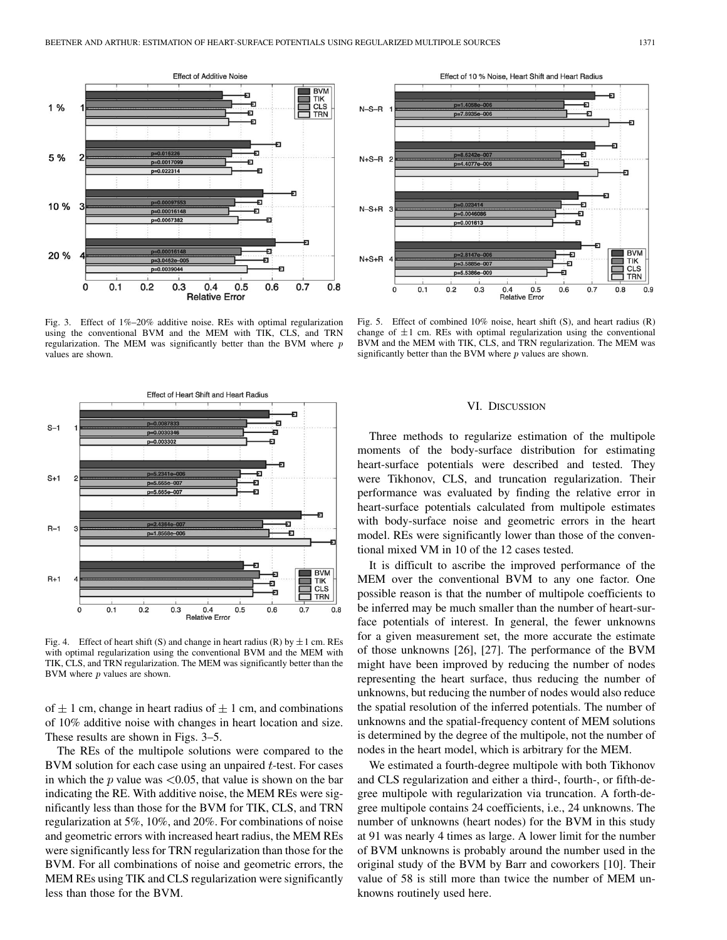

Fig. 3. Effect of 1%–20% additive noise. REs with optimal regularization using the conventional BVM and the MEM with TIK, CLS, and TRN regularization. The MEM was significantly better than the BVM where  $p$ values are shown.



Fig. 4. Effect of heart shift (S) and change in heart radius (R) by  $\pm 1$  cm. REs with optimal regularization using the conventional BVM and the MEM with TIK, CLS, and TRN regularization. The MEM was significantly better than the BVM where p values are shown.

of  $\pm$  1 cm, change in heart radius of  $\pm$  1 cm, and combinations of 10% additive noise with changes in heart location and size. These results are shown in Figs. 3–5.

The REs of the multipole solutions were compared to the BVM solution for each case using an unpaired  $t$ -test. For cases in which the p value was  $\langle 0.05$ , that value is shown on the bar indicating the RE. With additive noise, the MEM REs were significantly less than those for the BVM for TIK, CLS, and TRN regularization at 5%, 10%, and 20%. For combinations of noise and geometric errors with increased heart radius, the MEM REs were significantly less for TRN regularization than those for the BVM. For all combinations of noise and geometric errors, the MEM REs using TIK and CLS regularization were significantly less than those for the BVM.



Fig. 5. Effect of combined 10% noise, heart shift (S), and heart radius (R) change of  $\pm 1$  cm. REs with optimal regularization using the conventional BVM and the MEM with TIK, CLS, and TRN regularization. The MEM was significantly better than the BVM where  $p$  values are shown.

#### VI. DISCUSSION

Three methods to regularize estimation of the multipole moments of the body-surface distribution for estimating heart-surface potentials were described and tested. They were Tikhonov, CLS, and truncation regularization. Their performance was evaluated by finding the relative error in heart-surface potentials calculated from multipole estimates with body-surface noise and geometric errors in the heart model. REs were significantly lower than those of the conventional mixed VM in 10 of the 12 cases tested.

It is difficult to ascribe the improved performance of the MEM over the conventional BVM to any one factor. One possible reason is that the number of multipole coefficients to be inferred may be much smaller than the number of heart-surface potentials of interest. In general, the fewer unknowns for a given measurement set, the more accurate the estimate of those unknowns [[26\]](#page-8-0), [[27\]](#page-8-0). The performance of the BVM might have been improved by reducing the number of nodes representing the heart surface, thus reducing the number of unknowns, but reducing the number of nodes would also reduce the spatial resolution of the inferred potentials. The number of unknowns and the spatial-frequency content of MEM solutions is determined by the degree of the multipole, not the number of nodes in the heart model, which is arbitrary for the MEM.

We estimated a fourth-degree multipole with both Tikhonov and CLS regularization and either a third-, fourth-, or fifth-degree multipole with regularization via truncation. A forth-degree multipole contains 24 coefficients, i.e., 24 unknowns. The number of unknowns (heart nodes) for the BVM in this study at 91 was nearly 4 times as large. A lower limit for the number of BVM unknowns is probably around the number used in the original study of the BVM by Barr and coworkers [[10\]](#page-8-0). Their value of 58 is still more than twice the number of MEM unknowns routinely used here.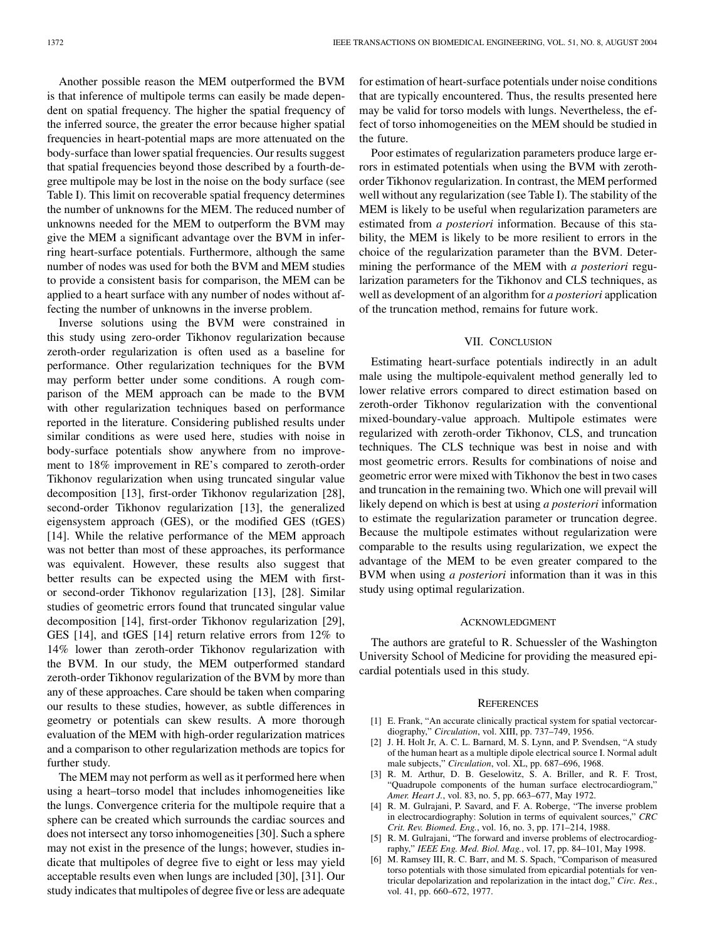<span id="page-7-0"></span>Another possible reason the MEM outperformed the BVM is that inference of multipole terms can easily be made dependent on spatial frequency. The higher the spatial frequency of the inferred source, the greater the error because higher spatial frequencies in heart-potential maps are more attenuated on the body-surface than lower spatial frequencies. Our results suggest that spatial frequencies beyond those described by a fourth-degree multipole may be lost in the noise on the body surface (see Table I). This limit on recoverable spatial frequency determines the number of unknowns for the MEM. The reduced number of unknowns needed for the MEM to outperform the BVM may give the MEM a significant advantage over the BVM in inferring heart-surface potentials. Furthermore, although the same number of nodes was used for both the BVM and MEM studies to provide a consistent basis for comparison, the MEM can be applied to a heart surface with any number of nodes without affecting the number of unknowns in the inverse problem.

Inverse solutions using the BVM were constrained in this study using zero-order Tikhonov regularization because zeroth-order regularization is often used as a baseline for performance. Other regularization techniques for the BVM may perform better under some conditions. A rough comparison of the MEM approach can be made to the BVM with other regularization techniques based on performance reported in the literature. Considering published results under similar conditions as were used here, studies with noise in body-surface potentials show anywhere from no improvement to 18% improvement in RE's compared to zeroth-order Tikhonov regularization when using truncated singular value decomposition [[13\]](#page-8-0), first-order Tikhonov regularization [[28\]](#page-8-0), second-order Tikhonov regularization [\[13](#page-8-0)], the generalized eigensystem approach (GES), or the modified GES (tGES) [[14\]](#page-8-0). While the relative performance of the MEM approach was not better than most of these approaches, its performance was equivalent. However, these results also suggest that better results can be expected using the MEM with firstor second-order Tikhonov regularization [[13\]](#page-8-0), [[28\]](#page-8-0). Similar studies of geometric errors found that truncated singular value decomposition [[14\]](#page-8-0), first-order Tikhonov regularization [[29\]](#page-8-0), GES [[14\]](#page-8-0), and tGES [\[14](#page-8-0)] return relative errors from 12% to 14% lower than zeroth-order Tikhonov regularization with the BVM. In our study, the MEM outperformed standard zeroth-order Tikhonov regularization of the BVM by more than any of these approaches. Care should be taken when comparing our results to these studies, however, as subtle differences in geometry or potentials can skew results. A more thorough evaluation of the MEM with high-order regularization matrices and a comparison to other regularization methods are topics for further study.

The MEM may not perform as well as it performed here when using a heart–torso model that includes inhomogeneities like the lungs. Convergence criteria for the multipole require that a sphere can be created which surrounds the cardiac sources and does not intersect any torso inhomogeneities [[30\]](#page-8-0). Such a sphere may not exist in the presence of the lungs; however, studies indicate that multipoles of degree five to eight or less may yield acceptable results even when lungs are included [[30\]](#page-8-0), [\[31](#page-8-0)]. Our study indicates that multipoles of degree five or less are adequate for estimation of heart-surface potentials under noise conditions that are typically encountered. Thus, the results presented here may be valid for torso models with lungs. Nevertheless, the effect of torso inhomogeneities on the MEM should be studied in the future.

Poor estimates of regularization parameters produce large errors in estimated potentials when using the BVM with zerothorder Tikhonov regularization. In contrast, the MEM performed well without any regularization (see Table I). The stability of the MEM is likely to be useful when regularization parameters are estimated from *a posteriori* information. Because of this stability, the MEM is likely to be more resilient to errors in the choice of the regularization parameter than the BVM. Determining the performance of the MEM with *a posteriori* regularization parameters for the Tikhonov and CLS techniques, as well as development of an algorithm for *a posteriori* application of the truncation method, remains for future work.

# VII. CONCLUSION

Estimating heart-surface potentials indirectly in an adult male using the multipole-equivalent method generally led to lower relative errors compared to direct estimation based on zeroth-order Tikhonov regularization with the conventional mixed-boundary-value approach. Multipole estimates were regularized with zeroth-order Tikhonov, CLS, and truncation techniques. The CLS technique was best in noise and with most geometric errors. Results for combinations of noise and geometric error were mixed with Tikhonov the best in two cases and truncation in the remaining two. Which one will prevail will likely depend on which is best at using *a posteriori* information to estimate the regularization parameter or truncation degree. Because the multipole estimates without regularization were comparable to the results using regularization, we expect the advantage of the MEM to be even greater compared to the BVM when using *a posteriori* information than it was in this study using optimal regularization.

#### ACKNOWLEDGMENT

The authors are grateful to R. Schuessler of the Washington University School of Medicine for providing the measured epicardial potentials used in this study.

#### **REFERENCES**

- [1] E. Frank, "An accurate clinically practical system for spatial vectorcardiography," *Circulation*, vol. XIII, pp. 737–749, 1956.
- [2] J. H. Holt Jr, A. C. L. Barnard, M. S. Lynn, and P. Svendsen, "A study of the human heart as a multiple dipole electrical source I. Normal adult male subjects," *Circulation*, vol. XL, pp. 687–696, 1968.
- [3] R. M. Arthur, D. B. Geselowitz, S. A. Briller, and R. F. Trost, "Quadrupole components of the human surface electrocardiogram," *Amer. Heart J.*, vol. 83, no. 5, pp. 663–677, May 1972.
- [4] R. M. Gulrajani, P. Savard, and F. A. Roberge, "The inverse problem in electrocardiography: Solution in terms of equivalent sources," *CRC Crit. Rev. Biomed. Eng.*, vol. 16, no. 3, pp. 171–214, 1988.
- [5] R. M. Gulrajani, "The forward and inverse problems of electrocardiography," *IEEE Eng. Med. Biol. Mag.*, vol. 17, pp. 84–101, May 1998.
- [6] M. Ramsey III, R. C. Barr, and M. S. Spach, "Comparison of measured torso potentials with those simulated from epicardial potentials for ventricular depolarization and repolarization in the intact dog," *Circ. Res.*, vol. 41, pp. 660–672, 1977.